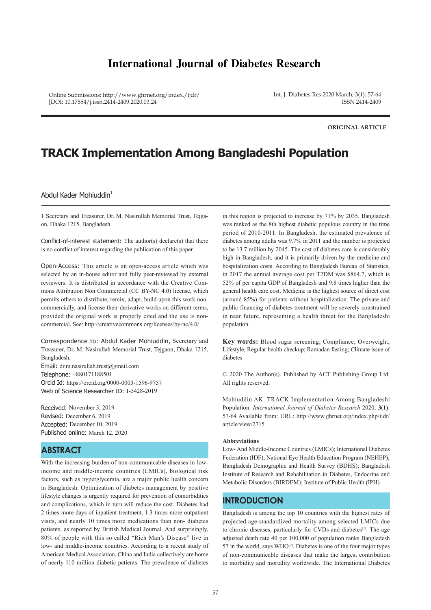# **International Journal of Diabetes Research**

Online Submissions: http://www.ghrnet.org/index./ijdr/ [DOI: 10.17554/j.issn.2414-2409.2020.03.24

Int. J. Diabetes Res 2020 March; 3(1): 57-64 ISSN 2414-2409

**ORIGINAL ARTICLE**

# **TRACK Implementation Among Bangladeshi Population**

### Abdul Kader Mohiuddin<sup>1</sup>

1 Secretary and Treasurer, Dr. M. Nasirullah Memorial Trust, Tejgaon, Dhaka 1215, Bangladesh.

Conflict-of-interest statement: The author(s) declare(s) that there is no conflict of interest regarding the publication of this paper.

Open-Access: This article is an open-access article which was selected by an in-house editor and fully peer-reviewed by external reviewers. It is distributed in accordance with the Creative Commons Attribution Non Commercial (CC BY-NC 4.0) license, which permits others to distribute, remix, adapt, build upon this work noncommercially, and license their derivative works on different terms, provided the original work is properly cited and the use is noncommercial. See: http://creativecommons.org/licenses/by-nc/4.0/

Correspondence to: Abdul Kader Mohiuddin, Secretary and Treasurer, Dr. M. Nasirullah Memorial Trust, Tejgaon, Dhaka 1215, Bangladesh. Email: dr.m.nasirullah.trust@gmail.com Telephone: +880171188501 Orcid Id: https://orcid.org/0000-0003-1596-9757 Web of Science Researcher ID: T-5428-2019

Received: November 3, 2019 Revised: December 6, 2019 Accepted: December 10, 2019 Published online: March 12, 2020

### **ABSTRACT**

With the increasing burden of non-communicable diseases in lowincome and middle-income countries (LMICs), biological risk factors, such as hyperglycemia, are a major public health concern in Bangladesh. Optimization of diabetes management by positive lifestyle changes is urgently required for prevention of comorbidities and complications, which in turn will reduce the cost. Diabetes had 2 times more days of inpatient treatment, 1.3 times more outpatient visits, and nearly 10 times more medications than non- diabetes patients, as reported by British Medical Journal. And surprisingly, 80% of people with this so called "Rich Man's Disease" live in low- and middle-income countries. According to a recent study of American Medical Association, China and India collectively are home of nearly 110 million diabetic patients. The prevalence of diabetes

in this region is projected to increase by 71% by 2035. Bangladesh was ranked as the 8th highest diabetic populous country in the time period of 2010-2011. In Bangladesh, the estimated prevalence of diabetes among adults was 9.7% in 2011 and the number is projected to be 13.7 million by 2045. The cost of diabetes care is considerably high in Bangladesh, and it is primarily driven by the medicine and hospitalization costs. According to Bangladesh Bureau of Statistics, in 2017 the annual average cost per T2DM was \$864.7, which is 52% of per capita GDP of Bangladesh and 9.8 times higher than the general health care cost. Medicine is the highest source of direct cost (around 85%) for patients without hospitalization. The private and public financing of diabetes treatment will be severely constrained in near future, representing a health threat for the Bangladeshi population.

**Key words:** Blood sugar screening; Compliance; Overweight; Lifestyle; Regular health checkup; Ramadan fasting; Climate issue of diabetes

© 2020 The Author(s). Published by ACT Publishing Group Ltd. All rights reserved.

Mohiuddin AK. TRACK Implementation Among Bangladeshi Population. *International Journal of Diabetes Research* 2020; **3(1)**: 57-64 Available from: URL: http://www.ghrnet.org/index.php/ijdr/ article/view/2715

#### **Abbreviations**

Low- And Middle-Income Countries (LMICs); International Diabetes Federation (IDF); National Eye Health Education Program (NEHEP); Bangladesh Demographic and Health Survey (BDHS); Bangladesh Institute of Research and Rehabilitation in Diabetes, Endocrine and Metabolic Disorders (BIRDEM); Institute of Public Health (IPH)

### **INTRODUCTION**

Bangladesh is among the top 10 countries with the highest rates of projected age-standardized mortality among selected LMICs due to chronic diseases, particularly for CVDs and diabetes<sup>[1]</sup>. The age adjusted death rate 40 per 100,000 of population ranks Bangladesh 57 in the world, says  $WHO<sup>[2]</sup>$ . Diabetes is one of the four major types of non-communicable diseases that make the largest contribution to morbidity and mortality worldwide. The International Diabetes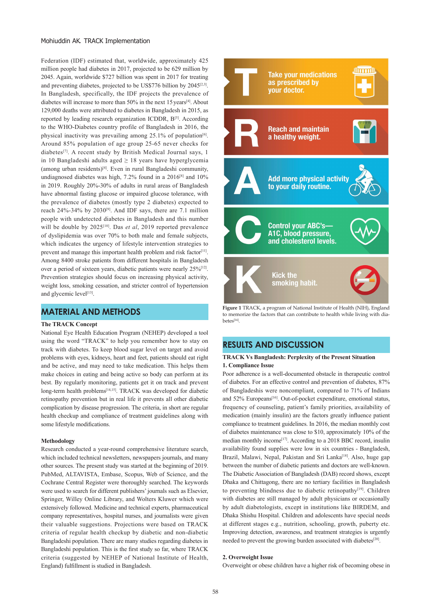#### Mohiuddin AK. TRACK Implementation

Federation (IDF) estimated that, worldwide, approximately 425 million people had diabetes in 2017, projected to be 629 million by 2045. Again, worldwide \$727 billion was spent in 2017 for treating and preventing diabetes, projected to be US\$776 billion by  $2045^{[2,3]}$ . In Bangladesh, specifically, the IDF projects the prevalence of diabetes will increase to more than  $50\%$  in the next 15 years<sup>[4]</sup>. About 129,000 deaths were attributed to diabetes in Bangladesh in 2015, as reported by leading research organization ICDDR, B[5]. According to the WHO-Diabetes country profile of Bangladesh in 2016, the physical inactivity was prevailing among  $25.1\%$  of population<sup>[6]</sup>. Around 85% population of age group 25-65 never checks for diabetes[7]. A recent study by British Medical Journal says, 1 in 10 Bangladeshi adults aged  $\geq$  18 years have hyperglycemia (among urban residents)[4]. Even in rural Bangladeshi community, undiagnosed diabetes was high,  $7.2\%$  found in a  $2016^{8}$  and  $10\%$ in 2019. Roughly 20%-30% of adults in rural areas of Bangladesh have abnormal fasting glucose or impaired glucose tolerance, with the prevalence of diabetes (mostly type 2 diabetes) expected to reach 24%-34% by 2030<sup>[9]</sup>. And IDF says, there are 7.1 million people with undetected diabetes in Bangladesh and this number will be double by 2025<sup>[10]</sup>. Das *et al*, 2019 reported prevalence of dyslipidemia was over 70% to both male and female subjects, which indicates the urgency of lifestyle intervention strategies to prevent and manage this important health problem and risk factor<sup>[11]</sup>. Among 8400 stroke patients from different hospitals in Bangladesh over a period of sixteen years, diabetic patients were nearly 25%<sup>[12]</sup>. Prevention strategies should focus on increasing physical activity, weight loss, smoking cessation, and stricter control of hypertension and glycemic level<sup>[13]</sup>.

# **MATERIAL AND METHODS**

### **The TRACK Concept**

National Eye Health Education Program (NEHEP) developed a tool using the word "TRACK" to help you remember how to stay on track with diabetes. To keep blood sugar level on target and avoid problems with eyes, kidneys, heart and feet, patients should eat right and be active, and may need to take medication. This helps them make choices in eating and being active so body can perform at its best. By regularly monitoring, patients get it on track and prevent long-term health problems<sup>[14,15]</sup>. TRACK was developed for diabetic retinopathy prevention but in real life it prevents all other diabetic complication by disease progression. The criteria, in short are regular health checkup and compliance of treatment guidelines along with some lifestyle modifications.

#### **Methodology**

Research conducted a year-round comprehensive literature search, which included technical newsletters, newspapers journals, and many other sources. The present study was started at the beginning of 2019. PubMed, ALTAVISTA, Embase, Scopus, Web of Science, and the Cochrane Central Register were thoroughly searched. The keywords were used to search for different publishers' journals such as Elsevier, Springer, Willey Online Library, and Wolters Kluwer which were extensively followed. Medicine and technical experts, pharmaceutical company representatives, hospital nurses, and journalists were given their valuable suggestions. Projections were based on TRACK criteria of regular health checkup by diabetic and non-diabetic Bangladeshi population. There are many studies regarding diabetes in Bangladeshi population. This is the first study so far, where TRACK criteria (suggested by NEHEP of National Institute of Health, England) fulfillment is studied in Bangladesh.



**Figure 1** TRACK, a program of National Institute of Health (NIH), England to memorize the factors that can contribute to health while living with diabetes[14].

## **RESULTS AND DISCUSSION**

### **TRACK Vs Bangladesh: Perplexity of the Present Situation 1. Compliance Issue**

Poor adherence is a well-documented obstacle in therapeutic control of diabetes. For an effective control and prevention of diabetes, 87% of Bangladeshis were noncompliant, compared to 71% of Indians and 52% Europeans<sup>[16]</sup>. Out-of-pocket expenditure, emotional status, frequency of counseling, patient's family priorities, availability of medication (mainly insulin) are the factors greatly influence patient compliance to treatment guidelines. In 2016, the median monthly cost of diabetes maintenance was close to \$10, approximately 10% of the median monthly income<sup>[17]</sup>. According to a 2018 BBC record, insulin availability found supplies were low in six countries - Bangladesh, Brazil, Malawi, Nepal, Pakistan and Sri Lanka<sup>[18]</sup>, Also, huge gap between the number of diabetic patients and doctors are well-known. The Diabetic Association of Bangladesh (DAB) record shows, except Dhaka and Chittagong, there are no tertiary facilities in Bangladesh to preventing blindness due to diabetic retinopathy<sup>[19]</sup>. Children with diabetes are still managed by adult physicians or occasionally by adult diabetologists, except in institutions like BIRDEM, and Dhaka Shishu Hospital. Children and adolescents have special needs at different stages e.g., nutrition, schooling, growth, puberty etc. Improving detection, awareness, and treatment strategies is urgently needed to prevent the growing burden associated with diabetes<sup>[20]</sup>.

### **2. Overweight Issue**

Overweight or obese children have a higher risk of becoming obese in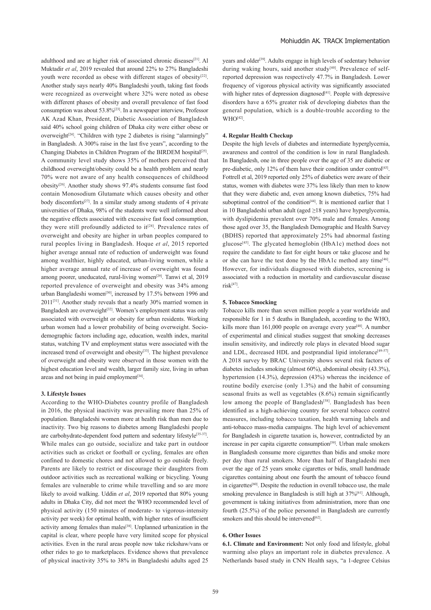adulthood and are at higher risk of associated chronic diseases<sup>[21]</sup>. Al Muktadir *et al*, 2019 revealed that around 22% to 27% Bangladeshi youth were recorded as obese with different stages of obesity<sup>[22]</sup>. Another study says nearly 40% Bangladeshi youth, taking fast foods were recognized as overweight where 32% were noted as obese with different phases of obesity and overall prevalence of fast food consumption was about  $53.8\%$ <sup>[23]</sup>. In a newspaper interview, Professor AK Azad Khan, President, Diabetic Association of Bangladesh said 40% school going children of Dhaka city were either obese or overweight<sup>[24]</sup>. "Children with type 2 diabetes is rising "alarmingly" in Bangladesh. A 300% raise in the last five years", according to the Changing Diabetes in Children Program of the BIRDEM hospital<sup>[25]</sup>. A community level study shows 35% of mothers perceived that childhood overweight/obesity could be a health problem and nearly 70% were not aware of any health consequences of childhood obesity[26]. Another study shows 97.4% students consume fast food contain Monosodium Glutamate which causes obesity and other body discomforts<sup>[27]</sup>. In a similar study among students of 4 private universities of Dhaka, 98% of the students were well informed about the negative effects associated with excessive fast food consumption, they were still profoundly addicted to  $it^{[28]}$ . Prevalence rates of overweight and obesity are higher in urban peoples compared to rural peoples living in Bangladesh. Hoque *et al*, 2015 reported higher average annual rate of reduction of underweight was found among wealthier, highly educated, urban-living women, while a higher average annual rate of increase of overweight was found among poorer, uneducated, rural-living women<sup>[29]</sup>. Tanwi et al, 2019 reported prevalence of overweight and obesity was 34% among urban Bangladeshi women<sup>[30]</sup>, increased by 17.5% between 1996 and 2011[31]. Another study reveals that a nearly 30% married women in Bangladesh are overweight<sup>[32]</sup>. Women's employment status was only associated with overweight or obesity for urban residents. Working urban women had a lower probability of being overweight. Sociodemographic factors including age, education, wealth index, marital status, watching TV and employment status were associated with the increased trend of overweight and obesity<sup>[33]</sup>. The highest prevalence of overweight and obesity were observed in those women with the highest education level and wealth, larger family size, living in urban areas and not being in paid employment<sup>[34]</sup>.

#### **3. Lifestyle Issues**

According to the WHO-Diabetes country profile of Bangladesh in 2016, the physical inactivity was prevailing more than 25% of population. Bangladeshi women more at health risk than men due to inactivity. Two big reasons to diabetes among Bangladeshi people are carbohydrate-dependent food pattern and sedentary lifestyle[35-37]. While males can go outside, socialize and take part in outdoor activities such as cricket or football or cycling, females are often confined to domestic chores and not allowed to go outside freely. Parents are likely to restrict or discourage their daughters from outdoor activities such as recreational walking or bicycling. Young females are vulnerable to crime while travelling and so are more likely to avoid walking. Uddin *et al*, 2019 reported that 80% young adults in Dhaka City, did not meet the WHO recommended level of physical activity (150 minutes of moderate- to vigorous-intensity activity per week) for optimal health, with higher rates of insufficient activity among females than males<sup>[38]</sup>. Unplanned urbanization in the capital is clear, where people have very limited scope for physical activities. Even in the rural areas people now take rickshaw/vans or other rides to go to marketplaces. Evidence shows that prevalence of physical inactivity 35% to 38% in Bangladeshi adults aged 25

years and older<sup>[39]</sup>. Adults engage in high levels of sedentary behavior during waking hours, said another study<sup>[40]</sup>. Prevalence of selfreported depression was respectively 47.7% in Bangladesh. Lower frequency of vigorous physical activity was significantly associated with higher rates of depression diagnosed<sup>[41]</sup>. People with depressive disorders have a 65% greater risk of developing diabetes than the general population, which is a double-trouble according to the WHO[42].

#### **4. Regular Health Checkup**

Despite the high levels of diabetes and intermediate hyperglycemia, awareness and control of the condition is low in rural Bangladesh. In Bangladesh, one in three people over the age of 35 are diabetic or pre-diabetic, only 12% of them have their condition under control<sup>[43]</sup>. Fottrell et al, 2019 reported only 25% of diabetics were aware of their status, women with diabetes were 37% less likely than men to know that they were diabetic and, even among known diabetics, 75% had suboptimal control of the condition<sup>[44]</sup>. It is mentioned earlier that 1 in 10 Bangladeshi urban adult (aged ≥18 years) have hyperglycemia, with dyslipidemia prevalent over 70% male and females. Among those aged over 35, the Bangladesh Demographic and Health Survey (BDHS) reported that approximately 25% had abnormal fasting glucose<sup>[45]</sup>. The glycated hemoglobin (HbA1c) method does not require the candidate to fast for eight hours or take glucose and he or she can have the test done by the HbA1c method any time[46]. However, for individuals diagnosed with diabetes, screening is associated with a reduction in mortality and cardiovascular disease  $risk^{[47]}$ 

#### **5. Tobacco Smocking**

Tobacco kills more than seven million people a year worldwide and responsible for 1 in 5 deaths in Bangladesh, according to the WHO, kills more than 161,000 people on average every year<sup>[48]</sup>. A number of experimental and clinical studies suggest that smoking decreases insulin sensitivity, and indirectly role plays in elevated blood sugar and LDL, decreased HDL and postprandial lipid intolerance<sup>[49-57]</sup>. A 2018 survey by BRAC University shows several risk factors of diabetes includes smoking (almost 60%), abdominal obesity (43.3%), hypertension (14.3%), depression (43%) whereas the incidence of routine bodily exercise (only 1.3%) and the habit of consuming seasonal fruits as well as vegetables (8.6%) remain significantly low among the people of Bangladesh<sup>[58]</sup>. Bangladesh has been identified as a high-achieving country for several tobacco control measures, including tobacco taxation, health warning labels and anti-tobacco mass-media campaigns. The high level of achievement for Bangladesh in cigarette taxation is, however, contradicted by an increase in per capita cigarette consumption<sup>[59]</sup>. Urban male smokers in Bangladesh consume more cigarettes than bidis and smoke more per day than rural smokers. More than half of Bangladeshi men over the age of 25 years smoke cigarettes or bidis, small handmade cigarettes containing about one fourth the amount of tobacco found in cigarettes[60]. Despite the reduction in overall tobacco use, the male smoking prevalence in Bangladesh is still high at  $37\%$ <sup>[61]</sup>. Although, government is taking initiatives from administration, more than one fourth (25.5%) of the police personnel in Bangladesh are currently smokers and this should be intervened<sup>[62]</sup>.

### **6. Other Issues**

**6.1. Climate and Environment:** Not only food and lifestyle, global warming also plays an important role in diabetes prevalence. A Netherlands based study in CNN Health says, "a 1-degree Celsius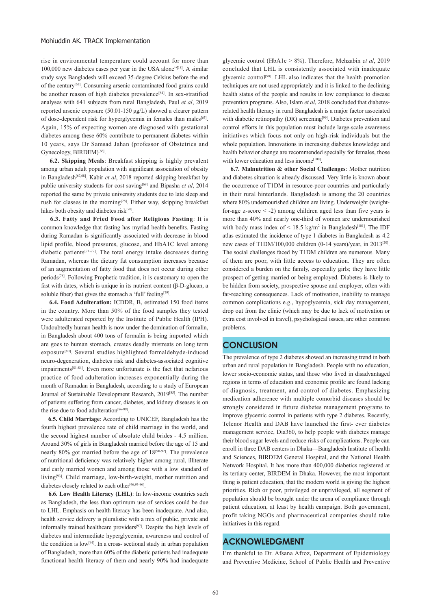rise in environmental temperature could account for more than 100,000 new diabetes cases per year in the USA alone"[18]. A similar study says Bangladesh will exceed 35-degree Celsius before the end of the century[63]. Consuming arsenic contaminated food grains could be another reason of high diabetes prevalence<sup>[64]</sup>. In sex-stratified analyses with 641 subjects from rural Bangladesh, Paul *et al*, 2019 reported arsenic exposure (50.01-150 μg/L) showed a clearer pattern of dose-dependent risk for hyperglycemia in females than males<sup>[65]</sup>. Again, 15% of expecting women are diagnosed with gestational diabetes among these 60% contribute to permanent diabetes within 10 years, says Dr Samsad Jahan (professor of Obstetrics and Gynecology, BIRDEM)<sup>[66]</sup>.

 **6.2. Skipping Meals**: Breakfast skipping is highly prevalent among urban adult population with significant association of obesity in Bangladesh[67,68]. Kabir *et al*, 2018 reported skipping breakfast by public university students for cost saving<sup>[69]</sup> and Bipasha et al, 2014 reported the same by private university students due to late sleep and rush for classes in the morning<sup>[28]</sup>. Either way, skipping breakfast hikes both obesity and diabetes risk<sup>[70]</sup>.

 **6.3. Fatty and Fried Food after Religious Fasting**: It is common knowledge that fasting has myriad health benefits. Fasting during Ramadan is significantly associated with decrease in blood lipid profile, blood pressures, glucose, and HbA1C level among diabetic patients<sup>[71-77]</sup>. The total energy intake decreases during Ramadan, whereas the dietary fat consumption increases because of an augmentation of fatty food that does not occur during other periods[78]. Following Prophetic tradition, it is customary to open the fast with dates, which is unique in its nutrient content (β-D-glucan, a soluble fiber) that gives the stomach a 'full' feeling<sup>[79]</sup>.

 **6.4. Food Adulteration:** ICDDR, B, estimated 150 food items in the country. More than 50% of the food samples they tested were adulterated reported by the Institute of Public Health (IPH). Undoubtedly human health is now under the domination of formalin, in Bangladesh about 400 tons of formalin is being imported which are goes to human stomach, creates deadly mistreats on long term exposure<sup>[80]</sup>. Several studies highlighted formaldehyde-induced neuro-degeneration, diabetes risk and diabetes-associated cognitive impairments[81-84]. Even more unfortunate is the fact that nefarious practice of food adulteration increases exponentially during the month of Ramadan in Bangladesh, according to a study of European Journal of Sustainable Development Research, 2019<sup>[85]</sup>. The number of patients suffering from cancer, diabetes, and kidney diseases is on the rise due to food adulteration<sup>[86-89]</sup>.

 **6.5. Child Marriage**: According to UNICEF, Bangladesh has the fourth highest prevalence rate of child marriage in the world, and the second highest number of absolute child brides - 4.5 million. Around 30% of girls in Bangladesh married before the age of 15 and nearly 80% got married before the age of 18[90-92]. The prevalence of nutritional deficiency was relatively higher among rural, illiterate and early married women and among those with a low standard of living[93]. Child marriage, low-birth-weight, mother nutrition and diabetes closely related to each other<sup>[46,93-96]</sup>

 **6.6. Low Health Literacy (LHL)**: In low-income countries such as Bangladesh, the less than optimum use of services could be due to LHL. Emphasis on health literacy has been inadequate. And also, health service delivery is pluralistic with a mix of public, private and informally trained healthcare providers[97]. Despite the high levels of diabetes and intermediate hyperglycemia, awareness and control of the condition is low[44]. In a cross- sectional study in urban population of Bangladesh, more than 60% of the diabetic patients had inadequate functional health literacy of them and nearly 90% had inadequate

glycemic control (HbA1c > 8%). Therefore, Mehzabin *et al*, 2019 concluded that LHL is consistently associated with inadequate glycemic control[98]. LHL also indicates that the health promotion techniques are not used appropriately and it is linked to the declining health status of the people and results in low compliance to disease prevention programs. Also, Islam *et al*, 2018 concluded that diabetesrelated health literacy in rural Bangladesh is a major factor associated with diabetic retinopathy (DR) screening<sup>[99]</sup>. Diabetes prevention and control efforts in this population must include large-scale awareness initiatives which focus not only on high-risk individuals but the whole population. Innovations in increasing diabetes knowledge and health behavior change are recommended specially for females, those with lower education and less income<sup>[100]</sup>.

 **6.7. Malnutrition & other Social Challenges**: Mother nutrition and diabetes situation is already discussed. Very little is known about the occurrence of T1DM in resource-poor countries and particularly in their rural hinterlands. Bangladesh is among the 20 countries where 80% undernourished children are living. Underweight (weightfor-age z-score  $\leq$  -2) among children aged less than five years is more than 40% and nearly one-third of women are undernourished with body mass index of  $\leq 18.5$  kg/m<sup>2</sup> in Bangladesh<sup>[101]</sup>. The IDF atlas estimated the incidence of type 1 diabetes in Bangladesh as 4.2 new cases of T1DM/100,000 children (0-14 years)/year, in 2013<sup>[20]</sup>. The social challenges faced by T1DM children are numerous. Many of them are poor, with little access to education. They are often considered a burden on the family, especially girls; they have little prospect of getting married or being employed. Diabetes is likely to be hidden from society, prospective spouse and employer, often with far-reaching consequences. Lack of motivation, inability to manage common complications e.g., hypoglycemia, sick day management, drop out from the clinic (which may be due to lack of motivation or extra cost involved in travel), psychological issues, are other common problems.

### **CONCLUSION**

The prevalence of type 2 diabetes showed an increasing trend in both urban and rural population in Bangladesh. People with no education, lower socio-economic status, and those who lived in disadvantaged regions in terms of education and economic profile are found lacking of diagnosis, treatment, and control of diabetes. Emphasizing medication adherence with multiple comorbid diseases should be strongly considered in future diabetes management programs to improve glycemic control in patients with type 2 diabetes. Recently, Telenor Health and DAB have launched the first- ever diabetes management service, Dia360, to help people with diabetes manage their blood sugar levels and reduce risks of complications. People can enroll in three DAB centers in Dhaka—Bangladesh Institute of health and Sciences, BIRDEM General Hospital, and the National Health Network Hospital. It has more than 400,000 diabetics registered at its tertiary center, BIRDEM in Dhaka. However, the most important thing is patient education, that the modern world is giving the highest priorities. Rich or poor, privileged or unprivileged, all segment of population should be brought under the arena of compliance through patient education, at least by health campaign. Both government, profit taking NGOs and pharmaceutical companies should take initiatives in this regard.

### **ACKNOWLEDGMENT**

I'm thankful to Dr. Afsana Afroz, Department of Epidemiology and Preventive Medicine, School of Public Health and Preventive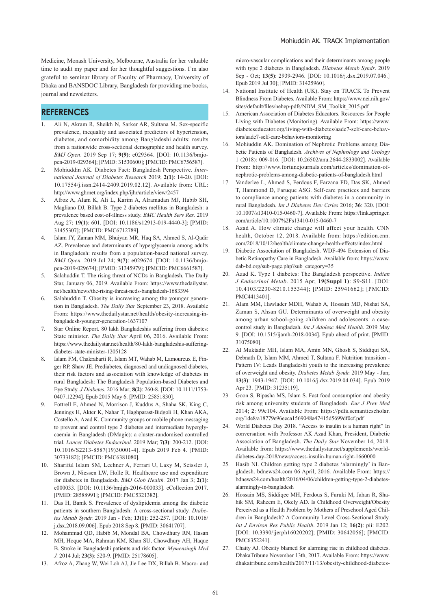Medicine, Monash University, Melbourne, Australia for her valuable time to audit my paper and for her thoughtful suggestions. I'm also grateful to seminar library of Faculty of Pharmacy, University of Dhaka and BANSDOC Library, Bangladesh for providing me books, journal and newsletters.

### **REFERENCES**

- 1. Ali N, Akram R, Sheikh N, Sarker AR, Sultana M. Sex-specific prevalence, inequality and associated predictors of hypertension, diabetes, and comorbidity among Bangladeshi adults: results from a nationwide cross-sectional demographic and health survey. *BMJ Open*. 2019 Sep 17; **9(9)**: e029364. [DOI: 10.1136/bmjopen-2019-029364]; [PMID: 31530600]; [PMCID: PMC6756587].
- 2. Mohiuddin AK. Diabetes Fact: Bangladesh Perspective. *International Journal of Diabetes Research* 2019; **2(1)**: 14-20. [DOI: 10.17554/j.issn.2414-2409.2019.02.12]. Available from: URL: http://www.ghrnet.org/index.php/ijhr/article/view/2457
- 3. Afroz A, Alam K, Ali L, Karim A, Alramadan MJ, Habib SH, Magliano DJ, Billah B. Type 2 diabetes mellitus in Bangladesh: a prevalence based cost-of-illness study. *BMC Health Serv Res.* 2019 Aug 27; **19(1)**: 601. [DOI: 10.1186/s12913-019-4440-3]; [PMID: 31455307]; [PMCID: PMC6712789].
- 4. Islam JY, Zaman MM, Bhuiyan MR, Haq SA, Ahmed S, Al-Qadir AZ. Prevalence and determinants of hyperglycaemia among adults in Bangladesh: results from a population-based national survey. *BMJ Open.* 2019 Jul 24; **9(7)**: e029674. [DOI: 10.1136/bmjopen-2019-029674]; [PMID: 31345979]; [PMCID: PMC6661587].
- 5. Salahuddin T. The rising threat of NCDs in Bangladesh. The Daily Star, January 06, 2019. Available From: https://www.thedailystar. net/health/news/the-rising-threat-ncds-bangladesh-1683394
- Salahuddin T. Obesity is increasing among the younger generation in Bangladesh. *The Daily Star* September 23, 2018. Available From: https://www.thedailystar.net/health/obesity-increasing-inbangladesh-younger-generation-1637107
- 7. Star Online Report. 80 lakh Bangladeshis suffering from diabetes: State minister. *The Daily Star* April 06, 2016. Available From: https://www.thedailystar.net/health/80-lakh-bangladeshis-sufferingdiabetes-state-minister-1205128
- 8. Islam FM, Chakrabarti R, Islam MT, Wahab M, Lamoureux E, Finger RP, Shaw JE. Prediabetes, diagnosed and undiagnosed diabetes, their risk factors and association with knowledge of diabetes in rural Bangladesh: The Bangladesh Population-based Diabetes and Eye Study. *J Diabetes.* 2016 Mar; **8(2)**: 260-8. [DOI: 10.1111/1753- 0407.12294]. Epub 2015 May 6. [PMID: 25851830].
- 9. Fottrell E, Ahmed N, Morrison J, Kuddus A, Shaha SK, King C, Jennings H, Akter K, Nahar T, Haghparast-Bidgoli H, Khan AKA, Costello A, Azad K. Community groups or mobile phone messaging to prevent and control type 2 diabetes and intermediate hyperglycaemia in Bangladesh (DMagic): a cluster-randomised controlled trial. *Lancet Diabetes Endocrinol.* 2019 Mar; **7(3)**: 200-212. [DOI: 10.1016/S2213-8587(19)30001-4]. Epub 2019 Feb 4. [PMID: 30733182]; [PMCID: PMC6381080].
- 10. Shariful Islam SM, Lechner A, Ferrari U, Laxy M, Seissler J, Brown J, Niessen LW, Holle R. Healthcare use and expenditure for diabetes in Bangladesh. *BMJ Glob Health.* 2017 Jan 3; **2(1)**: e000033. [DOI: 10.1136/bmjgh-2016-000033]. eCollection 2017. [PMID: 28588991]; [PMCID: PMC5321382].
- 11. Das H, Banik S. Prevalence of dyslipidemia among the diabetic patients in southern Bangladesh: A cross-sectional study. *Diabetes Metab Syndr.* 2019 Jan - Feb; **13(1)**: 252-257. [DOI: 10.1016/ j.dsx.2018.09.006]. Epub 2018 Sep 8. [PMID: 30641707].
- 12. Mohammad QD, Habib M, Mondal BA, Chowdhury RN, Hasan MH, Hoque MA, Rahman KM, Khan SU, Chowdhury AH, Haque B. Stroke in Bangladeshi patients and risk factor. *Mymensingh Med J.* 2014 Jul; **23(3)**: 520-9. [PMID: 25178605].
- 13. Afroz A, Zhang W, Wei Loh AJ, Jie Lee DX, Billah B. Macro- and

micro-vascular complications and their determinants among people with type 2 diabetes in Bangladesh. *Diabetes Metab Syndr*. 2019 Sep - Oct; **13(5)**: 2939-2946. [DOI: 10.1016/j.dsx.2019.07.046.] Epub 2019 Jul 30]; [PMID: 31425960].

- 14. National Institute of Health (UK). Stay on TRACK To Prevent Blindness From Diabetes. Available From: https://www.nei.nih.gov/ sites/default/files/nehep-pdfs/NDM\_SM\_Toolkit\_2015.pdf
- 15. American Association of Diabetes Educators. Resources for People Living with Diabetes (Monitoring). Available From: https://www. diabeteseducator.org/living-with-diabetes/aade7-self-care-behaviors/aade7-self-care-behaviors-monitoring
- 16. Mohiuddin AK. Domination of Nephrotic Problems among Diabetic Patients of Bangladesh. *Archives of Nephrology and Urology*  1 (2018): 009-016. [DOI: 10.26502/anu.2644-2833002]. Available From: http://www.fortunejournals.com/articles/domination-ofnephrotic-problems-among-diabetic-patients-of-bangladesh.html
- 17. Vanderlee L, Ahmed S, Ferdous F, Farzana FD, Das SK, Ahmed T, Hammond D, Faruque ASG. Self-care practices and barriers to compliance among patients with diabetes in a community in rural Bangladesh. *Int J Diabetes Dev Ctries* 2016; **36**: 320. [DOI: 10.1007/s13410-015-0460-7]. Available From: https://link.springer. com/article/10.1007%2Fs13410-015-0460-7
- 18. Azad A. How climate change will affect your health. CNN health, October 12, 2018. Available from: https://edition.cnn. com/2018/10/12/health/climate-change-health-effects/index.html
- 19. Diabetic Association of Bangladesh. WDF-494 Extension of Diabetic Retinopathy Care in Bangladesh. Available from: https://www. dab-bd.org/sub-page.php?sub\_category=35
- 20. Azad K. Type 1 diabetes: The Bangladesh perspective. *Indian J Endocrinol Metab*. 2015 Apr; **19(Suppl 1)**: S9-S11. [DOI: 10.4103/2230-8210.155344]; [PMID: 25941662]; [PMCID: PMC4413401].
- 21. Alam MM, Hawlader MDH, Wahab A, Hossain MD, Nishat SA, Zaman S, Ahsan GU. Determinants of overweight and obesity among urban school-going children and adolescents: a casecontrol study in Bangladesh. *Int J Adolesc Med Health*. 2019 May 9. [DOI: 10.1515/ijamh-2018-0034]. Epub ahead of print. [PMID: 31075080].
- 22. Al Muktadir MH, Islam MA, Amin MN, Ghosh S, Siddiqui SA, Debnath D, Islam MM, Ahmed T, Sultana F. Nutrition transition - Pattern IV: Leads Bangladeshi youth to the increasing prevalence of overweight and obesity. *Diabetes Metab Syndr.* 2019 May - Jun; **13(3)**: 1943-1947. [DOI: 10.1016/j.dsx.2019.04.034]. Epub 2019 Apr 23. [PMID: 31235119].
- 23. Goon S, Bipasha MS, Islam S. Fast food consumption and obesity risk among university students of Bangladesh. *Eur J Prev Med* 2014; **2**: 99e104. Available From: https://pdfs.semanticscholar. org/1de8/a18779e96eeca1569048a47415d5699df0cf.pdf
- 24. World Diabetes Day 2018. "Access to insulin is a human right" In conversation with Professor AK Azad Khan, President, Diabetic Association of Bangladesh. *The Daily Star* November 14, 2018. Available from: https://www.thedailystar.net/supplements/worlddiabetes-day-2018/news/access-insulin-human-right-1660000
- 25. Hasib NI. Children getting type 2 diabetes 'alarmingly' in Bangladesh. bdnews24.com 06 April, 2016. Available From: https:// bdnews24.com/health/2016/04/06/children-getting-type-2-diabetesalarmingly-in-bangladesh
- 26. Hossain MS, Siddiqee MH, Ferdous S, Faruki M, Jahan R, Shahik SM, Raheem E, Okely AD. Is Childhood Overweight/Obesity Perceived as a Health Problem by Mothers of Preschool Aged Children in Bangladesh? A Community Level Cross-Sectional Study. *Int J Environ Res Public Health*. 2019 Jan 12; **16(2)**: pii: E202. [DOI: 10.3390/ijerph16020202]; [PMID: 30642056]; [PMCID: PMC6352241].
- 27. Chaity AJ. Obesity blamed for alarming rise in childhood diabetes. DhakaTribune November 13th, 2017. Available From: https://www. dhakatribune.com/health/2017/11/13/obesity-childhood-diabetes-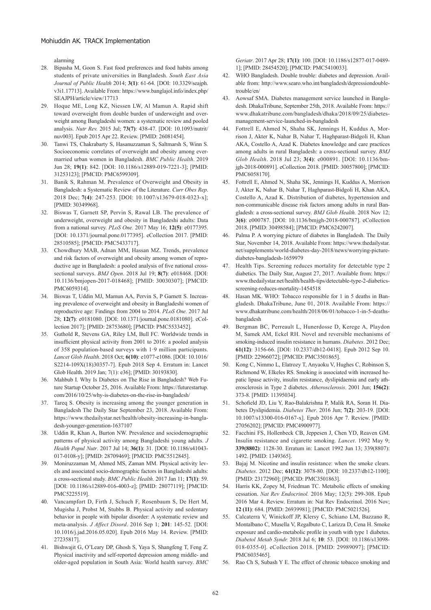alarming

- 28. Bipasha M, Goon S. Fast food preferences and food habits among students of private universities in Bangladesh. *South East Asia Journal of Public Health* 2014; **3(1)**: 61-64. [DOI: 10.3329/seajph. v3i1.17713]. Available From: https://www.banglajol.info/index.php/ SEAJPH/article/view/17713
- 29. Hoque ME, Long KZ, Niessen LW, Al Mamun A. Rapid shift toward overweight from double burden of underweight and overweight among Bangladeshi women: a systematic review and pooled analysis. *Nutr Rev.* 2015 Jul; **73(7)**: 438-47. [DOI: 10.1093/nutrit/ nuv003]. Epub 2015 Apr 22. Review. [PMID: 26081454].
- 30. Tanwi TS, Chakrabarty S, Hasanuzzaman S, Saltmarsh S, Winn S. Socioeconomic correlates of overweight and obesity among evermarried urban women in Bangladesh. *BMC Public Health*. 2019 Jun 28; **19(1)**: 842. [DOI: 10.1186/s12889-019-7221-3]; [PMID: 31253123]; [PMCID: PMC6599309].
- 31. Banik S, Rahman M. Prevalence of Overweight and Obesity in Bangladesh: a Systematic Review of the Literature. *Curr Obes Rep*. 2018 Dec; **7(4)**: 247-253. [DOI: 10.1007/s13679-018-0323-x]; [PMID: 30349968].
- 32. Biswas T, Garnett SP, Pervin S, Rawal LB. The prevalence of underweight, overweight and obesity in Bangladeshi adults: Data from a national survey. *PLoS One.* 2017 May 16; **12(5)**: e0177395. [DOI: 10.1371/journal.pone.0177395]. eCollection 2017. [PMID: 28510585]; [PMCID: PMC5433717].
- 33. Chowdhury MAB, Adnan MM, Hassan MZ. Trends, prevalence and risk factors of overweight and obesity among women of reproductive age in Bangladesh: a pooled analysis of five national crosssectional surveys. *BMJ Open*. 2018 Jul 19; **8(7)**: e018468. [DOI: 10.1136/bmjopen-2017-018468]; [PMID: 30030307]; [PMCID: PMC6059314].
- 34. Biswas T, Uddin MJ, Mamun AA, Pervin S, P Garnett S. Increasing prevalence of overweight and obesity in Bangladeshi women of reproductive age: Findings from 2004 to 2014. *PLoS One.* 2017 Jul 28; **12(7)**: e0181080. [DOI: 10.1371/journal.pone.0181080]. eCollection 2017]; [PMID: 28753680]; [PMCID: PMC5533452].
- 35. Guthold R, Stevens GA, Riley LM, Bull FC. Worldwide trends in insufficient physical activity from 2001 to 2016: a pooled analysis of 358 population-based surveys with 1·9 million participants. *Lancet Glob Health*. 2018 Oct; **6(10)**: e1077-e1086. [DOI: 10.1016/ S2214-109X(18)30357-7]. Epub 2018 Sep 4. Erratum in: Lancet Glob Health. 2019 Jan; 7(1): e36]; [PMID: 30193830].
- 36. Mahbub I. Why Is Diabetes on The Rise in Bangladesh? Web Future Startup October 25, 2016. Available From: https://futurestartup. com/2016/10/25/why-is-diabetes-on-the-rise-in-bangladesh/
- 37. Tareq S. Obesity is increasing among the younger generation in Bangladesh The Daily Star September 23, 2018. Available From: https://www.thedailystar.net/health/obesity-increasing-in-bangladesh-younger-generation-1637107
- 38. Uddin R, Khan A, Burton NW. Prevalence and sociodemographic patterns of physical activity among Bangladeshi young adults. *J Health Popul Nutr*. 2017 Jul 14; **36(1)**: 31. [DOI: 10.1186/s41043- 017-0108-y]; [PMID: 28709469]; [PMCID: PMC5512845].
- 39. Moniruzzaman M, Ahmed MS, Zaman MM. Physical activity levels and associated socio-demographic factors in Bangladeshi adults: a cross-sectional study. *BMC Public Health.* 2017 Jan 11; **17(1)**: 59. [DOI: 10.1186/s12889-016-4003-z]; [PMID: 28077119]; [PMCID: PMC5225519].
- 40. Vancampfort D, Firth J, Schuch F, Rosenbaum S, De Hert M, Mugisha J, Probst M, Stubbs B. Physical activity and sedentary behavior in people with bipolar disorder: A systematic review and meta-analysis. *J Affect Disord*. 2016 Sep 1; **201**: 145-52. [DOI: 10.1016/j.jad.2016.05.020]. Epub 2016 May 14. Review. [PMID: 27235817].
- 41. Bishwajit G, O'Leary DP, Ghosh S, Yaya S, Shangfeng T, Feng Z. Physical inactivity and self-reported depression among middle- and older-aged population in South Asia: World health survey. *BMC*

*Geriatr*. 2017 Apr 28; **17(1)**: 100. [DOI: 10.1186/s12877-017-0489- 1]; [PMID: 28454520]; [PMCID: PMC5410033].

- 42. WHO Bangladesh. Double trouble: diabetes and depression. Available from: http://www.searo.who.int/bangladesh/depressiondoubletrouble/en/
- 43. Aowsaf SMA. Diabetes management service launched in Bangladesh. DhakaTribune, September 25th, 2018. Available From: https:// www.dhakatribune.com/bangladesh/dhaka/2018/09/25/diabetesmanagement-service-launched-in-bangladesh
- 44. Fottrell E, Ahmed N, Shaha SK, Jennings H, Kuddus A, Morrison J, Akter K, Nahar B, Nahar T, Haghparast-Bidgoli H, Khan AKA, Costello A, Azad K. Diabetes knowledge and care practices among adults in rural Bangladesh: a cross-sectional survey. *BMJ Glob Health*. 2018 Jul 23; **3(4)**: e000891. [DOI: 10.1136/bmjgh-2018-000891]. eCollection 2018. [PMID: 30057800]; [PMCID: PMC6058170].
- 45. Fottrell E, Ahmed N, Shaha SK, Jennings H, Kuddus A, Morrison J, Akter K, Nahar B, Nahar T, Haghparast-Bidgoli H, Khan AKA, Costello A, Azad K. Distribution of diabetes, hypertension and non-communicable disease risk factors among adults in rural Bangladesh: a cross-sectional survey. *BMJ Glob Health.* 2018 Nov 12; **3(6)**: e000787. [DOI: 10.1136/bmjgh-2018-000787]. eCollection 2018. [PMID: 30498584]; [PMCID: PMC6242007].
- 46. Palma P. A worrying picture of diabetes in Bangladesh. The Daily Star, November 14, 2018. Available From: https://www.thedailystar. net/supplements/world-diabetes-day-2018/news/worrying-picturediabetes-bangladesh-1659979
- 47. Health Tips. Screening reduces mortality for detectable type 2 diabetics. The Daily Star, August 27, 2017. Available from: https:// www.thedailystar.net/health/health-tips/detectable-type-2-diabeticsscreening-reduces-mortality-1454518
- 48. Hasan MK. WHO: Tobacco responsible for 1 in 5 deaths in Bangladesh. DhakaTribune, June 01, 2018. Available From: https:// www.dhakatribune.com/health/2018/06/01/tobacco-1-in-5-deathsbangladesh
- 49. Bergman BC, Perreault L, Hunerdosse D, Kerege A, Playdon M, Samek AM, Eckel RH. Novel and reversible mechanisms of smoking-induced insulin resistance in humans. *Diabetes*. 2012 Dec; **61(12)**: 3156-66. [DOI: 10.2337/db12-0418]. Epub 2012 Sep 10. [PMID: 22966072]; [PMCID: PMC3501865].
- 50. Kong C, Nimmo L, Elatrozy T, Anyaoku V, Hughes C, Robinson S, Richmond W, Elkeles RS. Smoking is associated with increased hepatic lipase activity, insulin resistance, dyslipidaemia and early atherosclerosis in Type 2 diabetes. *Atherosclerosis*. 2001 Jun; **156(2)**: 373-8. [PMID: 11395034].
- 51. Schofield JD, Liu Y, Rao-Balakrishna P, Malik RA, Soran H. Diabetes Dyslipidemia. *Diabetes Ther*. 2016 Jun; **7(2)**: 203-19. [DOI: 10.1007/s13300-016-0167-x]. Epub 2016 Apr 7. Review. [PMID: 27056202]; [PMCID: PMC4900977].
- 52. Facchini FS, Hollenbeck CB, Jeppesen J, Chen YD, Reaven GM. Insulin resistance and cigarette smoking. *Lancet*. 1992 May 9; **339(8802)**: 1128-30. Erratum in: Lancet 1992 Jun 13; 339(8807): 1492. [PMID: 1349365].
- 53. Bajaj M. Nicotine and insulin resistance: when the smoke clears. *Diabetes*. 2012 Dec; **61(12)**: 3078-80. [DOI: 10.2337/db12-1100]; [PMID: 23172960]; [PMCID: PMC3501863].
- 54. Harris KK, Zopey M, Friedman TC. Metabolic effects of smoking cessation. *Nat Rev Endocrinol.* 2016 May; 12(5): 299-308. Epub 2016 Mar 4. Review. Erratum in: Nat Rev Endocrinol. 2016 Nov; **12 (11)**: 684. [PMID: 26939981]; [PMCID: PMC5021526].
- 55. Calcaterra V, Winickoff JP, Klersy C, Schiano LM, Bazzano R, Montalbano C, Musella V, Regalbuto C, Larizza D, Cena H. Smoke exposure and cardio-metabolic profile in youth with type 1 diabetes. *Diabetol Metab Syndr.* 2018 Jul 6; **10**: 53. [DOI: 10.1186/s13098- 018-0355-0]. eCollection 2018. [PMID: 29989097]; [PMCID: PMC6035465].
- 56. Rao Ch S, Subash Y E. The effect of chronic tobacco smoking and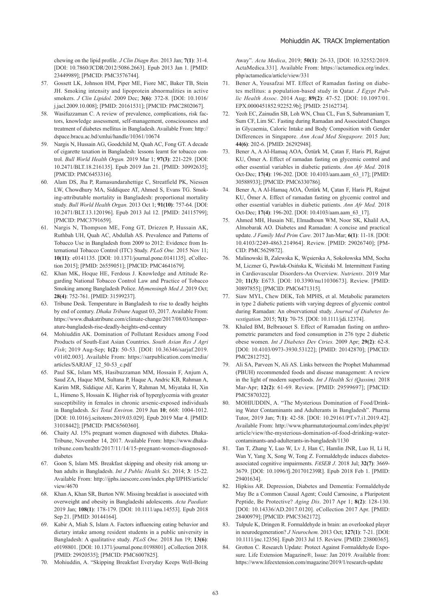chewing on the lipid profile. *J Clin Diagn Res.* 2013 Jan; **7(1)**: 31-4. [DOI: 10.7860/JCDR/2012/5086.2663]. Epub 2013 Jan 1. [PMID: 23449989]; [PMCID: PMC3576744].

- 57. Gossett LK, Johnson HM, Piper ME, Fiore MC, Baker TB, Stein JH. Smoking intensity and lipoprotein abnormalities in active smokers. *J Clin Lipidol.* 2009 Dec; **3(6)**: 372-8. [DOI: 10.1016/ j.jacl.2009.10.008]; [PMID: 20161531]; [PMCID: PMC2802067].
- 58. Wasifuzzaman C. A review of prevalence, complications, risk factors, knowledge assessment, self-management, consciousness and treatment of diabetes mellitus in Bangladesh. Available From: http:// dspace.bracu.ac.bd/xmlui/handle/10361/10674
- 59. Nargis N, Hussain AG, Goodchild M, Quah AC, Fong GT. A decade of cigarette taxation in Bangladesh: lessons learnt for tobacco control. *Bull World Health Organ.* 2019 Mar 1; **97(3)**: 221-229. [DOI: 10.2471/BLT.18.216135]. Epub 2019 Jan 21. [PMID: 30992635]; [PMCID: PMC6453316].
- 60. Alam DS, Jha P, Ramasundarahettige C, Streatfield PK, Niessen LW, Chowdhury MA, Siddiquee AT, Ahmed S, Evans TG. Smoking-attributable mortality in Bangladesh: proportional mortality study. *Bull World Health Organ.* 2013 Oct 1; **91(10)**: 757-64. [DOI: 10.2471/BLT.13.120196]. Epub 2013 Jul 12. [PMID: 24115799]; [PMCID: PMC3791659].
- 61. Nargis N, Thompson ME, Fong GT, Driezen P, Hussain AK, Ruthbah UH, Quah AC, Abdullah AS. Prevalence and Patterns of Tobacco Use in Bangladesh from 2009 to 2012: Evidence from International Tobacco Control (ITC) Study. *PLoS One.* 2015 Nov 11; **10(11)**: e0141135. [DOI: 10.1371/journal.pone.0141135]. eCollection 2015]; [PMID: 26559051]; [PMCID: PMC4641679].
- 62. Khan MK, Hoque HE, Ferdous J. Knowledge and Attitude Regarding National Tobacco Control Law and Practice of Tobacco Smoking among Bangladesh Police. *Mymensingh Med J.* 2019 Oct; **28(4)**: 752-761. [PMID: 31599237].
- 63. Tribune Desk. Temperature in Bangladesh to rise to deadly heights by end of century. *Dhaka Tribune* August 03, 2017. Available From: https://www.dhakatribune.com/climate-change/2017/08/03/temperature-bangladesh-rise-deadly-heights-end-century
- 64. Mohiuddin AK. Domination of Pollutant Residues among Food Products of South-East Asian Countries. *South Asian Res J Agri Fish*; 2019 Aug-Sep; **1(2)**: 50-53. [DOI: 10.36346/sarjaf.2019. v01i02.003]. Available From: https://sarpublication.com/media/ articles/SARJAF\_12\_50-53\_c.pdf
- 65. Paul SK, Islam MS, Hasibuzzaman MM, Hossain F, Anjum A, Saud ZA, Haque MM, Sultana P, Haque A, Andric KB, Rahman A, Karim MR, Siddique AE, Karim Y, Rahman M, Miyataka H, Xin L, Himeno S, Hossain K. Higher risk of hyperglycemia with greater susceptibility in females in chronic arsenic-exposed individuals in Bangladesh. *Sci Total Environ.* 2019 Jun **10**; 668: 1004-1012. [DOI: 10.1016/j.scitotenv.2019.03.029]. Epub 2019 Mar 4. [PMID: 31018442]; [PMCID: PMC6560360].
- 66. Chaity AJ. 15% pregnant women diagnosed with diabetes. Dhaka-Tribune, November 14, 2017. Available From: https://www.dhakatribune.com/health/2017/11/14/15-pregnant-women-diagnoseddiabetes
- 67. Goon S, Islam MS. Breakfast skipping and obesity risk among urban adults in Bangladesh. *Int J Public Health Sci*. 2014; **3**: 15-22. Available From: http://ijphs.iaescore.com/index.php/IJPHS/article/ view/4670
- 68. Khan A, Khan SR, Burton NW. Missing breakfast is associated with overweight and obesity in Bangladeshi adolescents. *Acta Paediatr.*  2019 Jan; **108(1)**: 178-179. [DOI: 10.1111/apa.14553]. Epub 2018 Sep 21. [PMID: 30144164].
- Kabir A, Miah S, Islam A. Factors influencing eating behavior and dietary intake among resident students in a public university in Bangladesh: A qualitative study. *PLoS One.* 2018 Jun 19; **13(6)**: e0198801. [DOI: 10.1371/journal.pone.0198801]. eCollection 2018. [PMID: 29920535]; [PMCID: PMC6007825].
- 70. Mohiuddin, A. "Skipping Breakfast Everyday Keeps Well-Being

Away". *Acta Medica*, 2019; **50(1)**: 26-33, [DOI: 10.32552/2019. ActaMedica.331]. Available From: https://actamedica.org/index. php/actamedica/article/view/331

- 71. Bener A, Yousafzai MT. Effect of Ramadan fasting on diabetes mellitus: a population-based study in Qatar. *J Egypt Public Health Assoc.* 2014 Aug; **89(2)**: 47-52. [DOI: 10.1097/01. EPX.0000451852.92252.9b]; [PMID: 25162734].
- 72. Yeoh EC, Zainudin SB, Loh WN, Chua CL, Fun S, Subramaniam T, Sum CF, Lim SC. Fasting during Ramadan and Associated Changes in Glycaemia, Caloric Intake and Body Composition with Gender Differences in Singapore. *Ann Acad Med Singapore.* 2015 Jun; **44(6)**: 202-6. [PMID: 26292948].
- 73. Bener A, A Al-Hamaq AOA, Öztürk M, Çatan F, Haris PI, Rajput KU, Ömer A. Effect of ramadan fasting on glycemic control and other essential variables in diabetic patients. *Ann Afr Med.* 2018 Oct-Dec; **17(4)**: 196-202. [DOI: 10.4103/aam.aam\_63\_17]; [PMID: 30588933]; [PMCID: PMC6330786].
- 74. Bener A, A Al-Hamaq AOA, Öztürk M, Çatan F, Haris PI, Rajput KU, Ömer A. Effect of ramadan fasting on glycemic control and other essential variables in diabetic patients. *Ann Afr Med.* 2018 Oct-Dec; **17(4)**: 196-202. [DOI: 10.4103/aam.aam\_63\_17].
- 75. Ahmed MH, Husain NE, Elmadhoun WM, Noor SK, Khalil AA, Almobarak AO. Diabetes and Ramadan: A concise and practical update. *J Family Med Prim Care*. 2017 Jan-Mar; **6(1)**: 11-18. [DOI: 10.4103/2249-4863.214964]. Review. [PMID: 29026740]; [PM-CID: PMC5629872].
- 76. Malinowski B, Zalewska K, Węsierska A, Sokołowska MM, Socha M, Liczner G, Pawlak-Osińska K, Wiciński M. Intermittent Fasting in Cardiovascular Disorders-An Overview. *Nutrients*. 2019 Mar 20; **11(3)**: E673. [DOI: 10.3390/nu11030673]. Review. [PMID: 30897855]; [PMCID: PMC6471315].
- 77. Siaw MYL, Chew DEK, Toh MPHS, et al. Metabolic parameters in type 2 diabetic patients with varying degrees of glycemic control during Ramadan: An observational study. *Journal of Diabetes Investigation*. 2015; **7(1)**: 70-75. [DOI: 10.1111/jdi.12374].
- 78. Khaled BM, Belbraouet S. Effect of Ramadan fasting on anthropometric parameters and food consumption in 276 type 2 diabetic obese women. *Int J Diabetes Dev Ctries.* 2009 Apr; **29(2)**: 62-8. [DOI: 10.4103/0973-3930.53122]; [PMID: 20142870]; [PMCID: PMC2812752].
- 79. Ali SA, Parveen N, Ali AS. Links between the Prophet Muhammad (PBUH) recommended foods and disease management: A review in the light of modern superfoods. *Int J Health Sci (Qassim).* 2018 Mar-Apr; **12(2)**: 61-69. Review. [PMID: 29599697]; [PMCID: PMC5870322].
- 80. MOHIUDDIN, A. "The Mysterious Domination of Food/Drinking Water Contaminants and Adulterants in Bangladesh". Pharma Tutor, 2019 Jan; **7**(**1)**: 42-58. [DOI: 10.29161/PT.v7.i1.2019.42]. Available From: http://www.pharmatutoriournal.com/index.php/pt/ article/view/the-mysterious-domination-of-food-drinking-watercontaminants-and-adulterants-in-bangladesh/1130
- 81. Tan T, Zhang Y, Luo W, Lv J, Han C, Hamlin JNR, Luo H, Li H, Wan Y, Yang X, Song W, Tong Z. Formaldehyde induces diabetesassociated cognitive impairments. *FASEB J*. 2018 Jul; **32(7)**: 3669- 3679. [DOI: 10.1096/fj.201701239R]. Epub 2018 Feb 1. [PMID: 29401634].
- 82. Hipkiss AR. Depression, Diabetes and Dementia: Formaldehyde May Be a Common Causal Agent; Could Carnosine, a Pluripotent Peptide, Be Protective? *Aging Dis*. 2017 Apr 1; **8(2)**: 128-130. [DOI: 10.14336/AD.2017.0120]. eCollection 2017 Apr. [PMID: 28400979]; [PMCID: PMC5362172].
- 83. Tulpule K, Dringen R. Formaldehyde in brain: an overlooked player in neurodegeneration? *J Neurochem.* 2013 Oct; **127(1)**: 7-21. [DOI: 10.1111/jnc.12356]. Epub 2013 Jul 15. Review. [PMID: 23800365].
- 84. Grotton C. Research Update: Protect Against Formaldehyde Exposure. Life Extension Magazine®, Issue: Jan 2019. Available from: https://www.lifeextension.com/magazine/2019/1/research-update